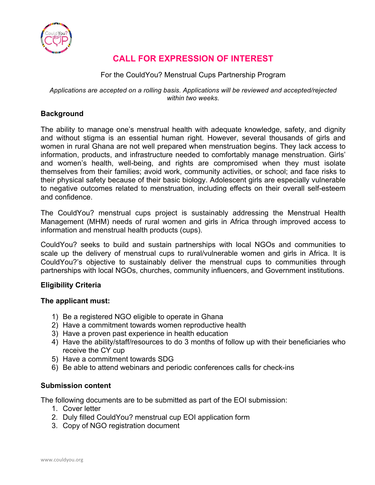

## **CALL FOR EXPRESSION OF INTEREST**

## For the CouldYou? Menstrual Cups Partnership Program

#### *Applications are accepted on a rolling basis. Applications will be reviewed and accepted/rejected within two weeks.*

## **Background**

The ability to manage one's menstrual health with adequate knowledge, safety, and dignity and without stigma is an essential human right. However, several thousands of girls and women in rural Ghana are not well prepared when menstruation begins. They lack access to information, products, and infrastructure needed to comfortably manage menstruation. Girls' and women's health, well-being, and rights are compromised when they must isolate themselves from their families; avoid work, community activities, or school; and face risks to their physical safety because of their basic biology. Adolescent girls are especially vulnerable to negative outcomes related to menstruation, including effects on their overall self-esteem and confidence.

The CouldYou? menstrual cups project is sustainably addressing the Menstrual Health Management (MHM) needs of rural women and girls in Africa through improved access to information and menstrual health products (cups).

CouldYou? seeks to build and sustain partnerships with local NGOs and communities to scale up the delivery of menstrual cups to rural/vulnerable women and girls in Africa. It is CouldYou?'s objective to sustainably deliver the menstrual cups to communities through partnerships with local NGOs, churches, community influencers, and Government institutions.

## **Eligibility Criteria**

## **The applicant must:**

- 1) Be a registered NGO eligible to operate in Ghana
- 2) Have a commitment towards women reproductive health
- 3) Have a proven past experience in health education
- 4) Have the ability/staff/resources to do 3 months of follow up with their beneficiaries who receive the CY cup
- 5) Have a commitment towards SDG
- 6) Be able to attend webinars and periodic conferences calls for check-ins

## **Submission content**

The following documents are to be submitted as part of the EOI submission:

- 1. Cover letter
- 2. Duly filled CouldYou? menstrual cup EOI application form
- 3. Copy of NGO registration document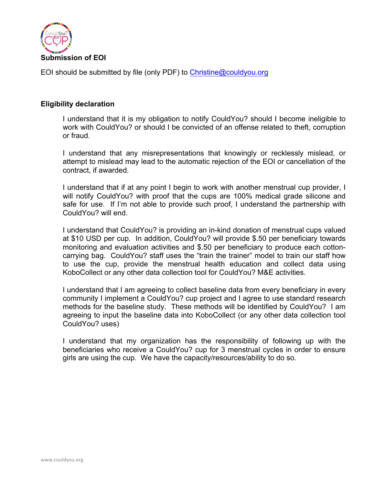

EOI should be submitted by file (only PDF) to Christine@couldyou.org

#### **Eligibility declaration**

 I understand that it is my obligation to notify CouldYou? should I become ineligible to work with CouldYou? or should I be convicted of an offense related to theft, corruption or fraud.

 I understand that any misrepresentations that knowingly or recklessly mislead, or attempt to mislead may lead to the automatic rejection of the EOI or cancellation of the contract, if awarded.

 I understand that if at any point I begin to work with another menstrual cup provider, I will notify CouldYou? with proof that the cups are 100% medical grade silicone and safe for use. If I'm not able to provide such proof, I understand the partnership with CouldYou? will end.

 I understand that CouldYou? is providing an in-kind donation of menstrual cups valued at \$10 USD per cup. In addition, CouldYou? will provide \$.50 per beneficiary towards monitoring and evaluation activities and \$.50 per beneficiary to produce each cottoncarrying bag. CouldYou? staff uses the "train the trainer" model to train our staff how to use the cup, provide the menstrual health education and collect data using KoboCollect or any other data collection tool for CouldYou? M&E activities.

 I understand that I am agreeing to collect baseline data from every beneficiary in every community I implement a CouldYou? cup project and I agree to use standard research methods for the baseline study. These methods will be identified by CouldYou? I am agreeing to input the baseline data into KoboCollect (or any other data collection tool CouldYou? uses)

 I understand that my organization has the responsibility of following up with the beneficiaries who receive a CouldYou? cup for 3 menstrual cycles in order to ensure girls are using the cup. We have the capacity/resources/ability to do so.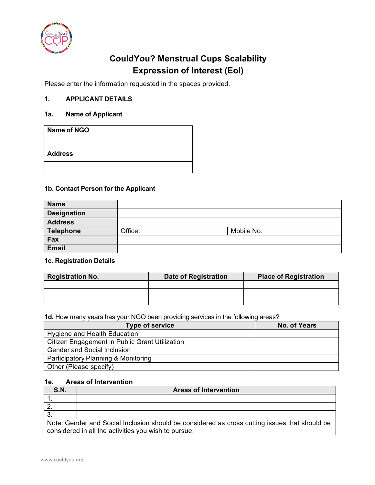

# **CouldYou? Menstrual Cups Scalability Expression of Interest (EoI)**

Please enter the information requested in the spaces provided.

## **1. APPLICANT DETAILS**

#### **1a. Name of Applicant**

| Name of NGO    |  |  |
|----------------|--|--|
|                |  |  |
| <b>Address</b> |  |  |
|                |  |  |

#### **1b. Contact Person for the Applicant**

| <b>Name</b>        |         |            |  |
|--------------------|---------|------------|--|
| <b>Designation</b> |         |            |  |
| <b>Address</b>     |         |            |  |
| Telephone          | Office: | Mobile No. |  |
| Fax                |         |            |  |
| Email              |         |            |  |

## **1c. Registration Details**

| <b>Registration No.</b> | <b>Date of Registration</b> | <b>Place of Registration</b> |
|-------------------------|-----------------------------|------------------------------|
|                         |                             |                              |
|                         |                             |                              |
|                         |                             |                              |

**1d.** How many years has your NGO been providing services in the following areas?

| <b>Type of service</b>                         | <b>No. of Years</b> |
|------------------------------------------------|---------------------|
| Hygiene and Health Education                   |                     |
| Citizen Engagement in Public Grant Utilization |                     |
| <b>Gender and Social Inclusion</b>             |                     |
| Participatory Planning & Monitoring            |                     |
| Other (Please specify)                         |                     |

## **1e. Areas of Intervention**

| <b>S.N.</b>                                                                                                                                           | <b>Areas of Intervention</b> |  |
|-------------------------------------------------------------------------------------------------------------------------------------------------------|------------------------------|--|
|                                                                                                                                                       |                              |  |
|                                                                                                                                                       |                              |  |
|                                                                                                                                                       |                              |  |
| Note: Gender and Social Inclusion should be considered as cross cutting issues that should be<br>considered in all the activities you wish to pursue. |                              |  |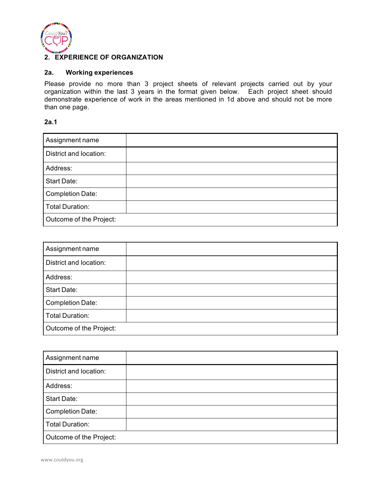

#### **2. EXPERIENCE OF ORGANIZATION**

## **2a. Working experiences**

Please provide no more than 3 project sheets of relevant projects carried out by your organization within the last 3 years in the format given below. Each project sheet should demonstrate experience of work in the areas mentioned in 1d above and should not be more than one page.

#### **2a.1**

| Assignment name         |  |
|-------------------------|--|
| District and location:  |  |
| Address:                |  |
| Start Date:             |  |
| <b>Completion Date:</b> |  |
| <b>Total Duration:</b>  |  |
| Outcome of the Project: |  |

| Assignment name         |  |
|-------------------------|--|
| District and location:  |  |
| Address:                |  |
| Start Date:             |  |
| <b>Completion Date:</b> |  |
| <b>Total Duration:</b>  |  |
| Outcome of the Project: |  |

| Assignment name         |  |
|-------------------------|--|
| District and location:  |  |
| Address:                |  |
| Start Date:             |  |
| <b>Completion Date:</b> |  |
| <b>Total Duration:</b>  |  |
| Outcome of the Project: |  |